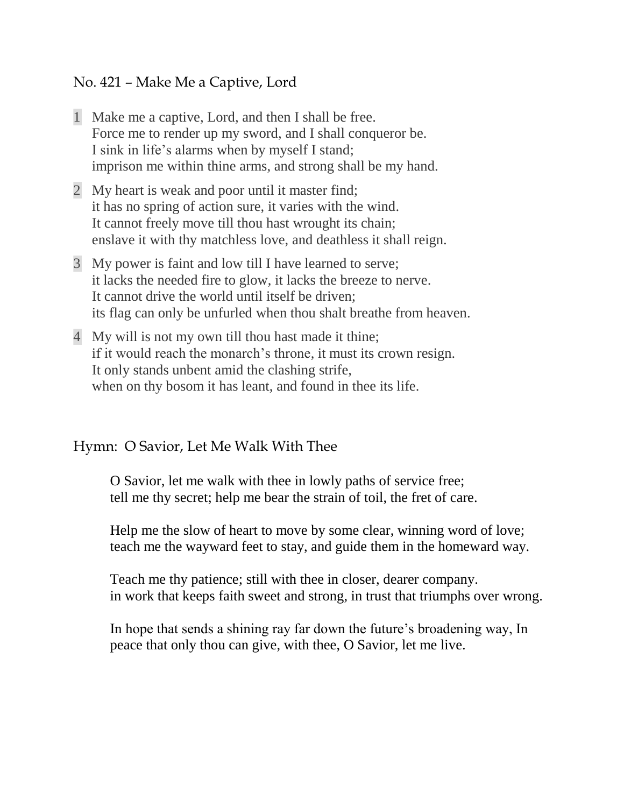## No. 421 – Make Me a Captive, Lord

- 1 Make me a captive, Lord, and then I shall be free. Force me to render up my sword, and I shall conqueror be. I sink in life's alarms when by myself I stand; imprison me within thine arms, and strong shall be my hand.
- 2 My heart is weak and poor until it master find; it has no spring of action sure, it varies with the wind. It cannot freely move till thou hast wrought its chain; enslave it with thy matchless love, and deathless it shall reign.
- 3 My power is faint and low till I have learned to serve; it lacks the needed fire to glow, it lacks the breeze to nerve. It cannot drive the world until itself be driven; its flag can only be unfurled when thou shalt breathe from heaven.
- 4 My will is not my own till thou hast made it thine; if it would reach the monarch's throne, it must its crown resign. It only stands unbent amid the clashing strife, when on thy bosom it has leant, and found in thee its life.

## Hymn: O Savior, Let Me Walk With Thee

O Savior, let me walk with thee in lowly paths of service free; tell me thy secret; help me bear the strain of toil, the fret of care.

Help me the slow of heart to move by some clear, winning word of love; teach me the wayward feet to stay, and guide them in the homeward way.

Teach me thy patience; still with thee in closer, dearer company. in work that keeps faith sweet and strong, in trust that triumphs over wrong.

In hope that sends a shining ray far down the future's broadening way, In peace that only thou can give, with thee, O Savior, let me live.